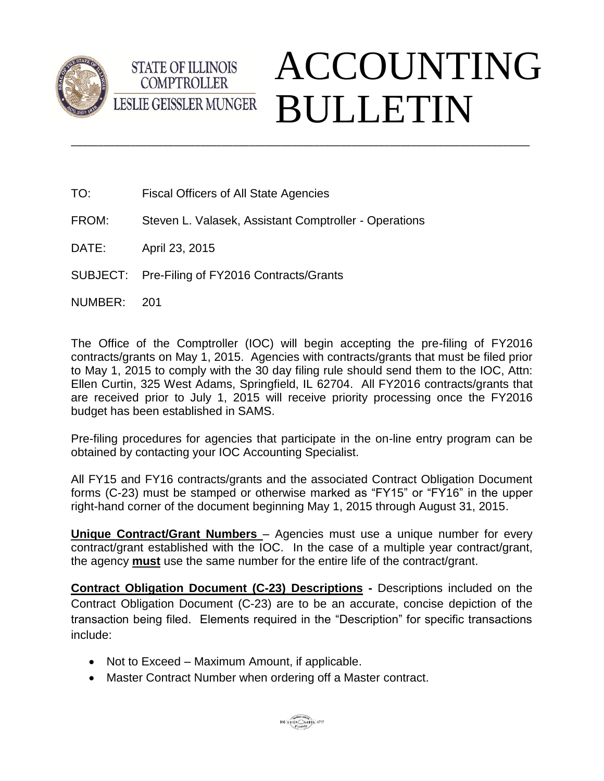



- TO: Fiscal Officers of All State Agencies
- FROM: Steven L. Valasek, Assistant Comptroller Operations
- DATE: April 23, 2015
- SUBJECT: Pre-Filing of FY2016 Contracts/Grants
- NUMBER: 201

The Office of the Comptroller (IOC) will begin accepting the pre-filing of FY2016 contracts/grants on May 1, 2015. Agencies with contracts/grants that must be filed prior to May 1, 2015 to comply with the 30 day filing rule should send them to the IOC, Attn: Ellen Curtin, 325 West Adams, Springfield, IL 62704. All FY2016 contracts/grants that are received prior to July 1, 2015 will receive priority processing once the FY2016 budget has been established in SAMS.

\_\_\_\_\_\_\_\_\_\_\_\_\_\_\_\_\_\_\_\_\_\_\_\_\_\_\_\_\_\_\_\_\_\_\_\_\_\_\_\_\_\_\_\_\_\_\_\_\_\_\_\_\_\_\_\_\_\_\_\_\_\_\_\_\_\_\_\_\_\_\_\_\_\_\_\_\_\_\_\_\_\_\_\_\_

Pre-filing procedures for agencies that participate in the on-line entry program can be obtained by contacting your IOC Accounting Specialist.

All FY15 and FY16 contracts/grants and the associated Contract Obligation Document forms (C-23) must be stamped or otherwise marked as "FY15" or "FY16" in the upper right-hand corner of the document beginning May 1, 2015 through August 31, 2015.

**Unique Contract/Grant Numbers** – Agencies must use a unique number for every contract/grant established with the IOC. In the case of a multiple year contract/grant, the agency **must** use the same number for the entire life of the contract/grant.

**Contract Obligation Document (C-23) Descriptions -** Descriptions included on the Contract Obligation Document (C-23) are to be an accurate, concise depiction of the transaction being filed. Elements required in the "Description" for specific transactions include:

- Not to Exceed Maximum Amount, if applicable.
- Master Contract Number when ordering off a Master contract.